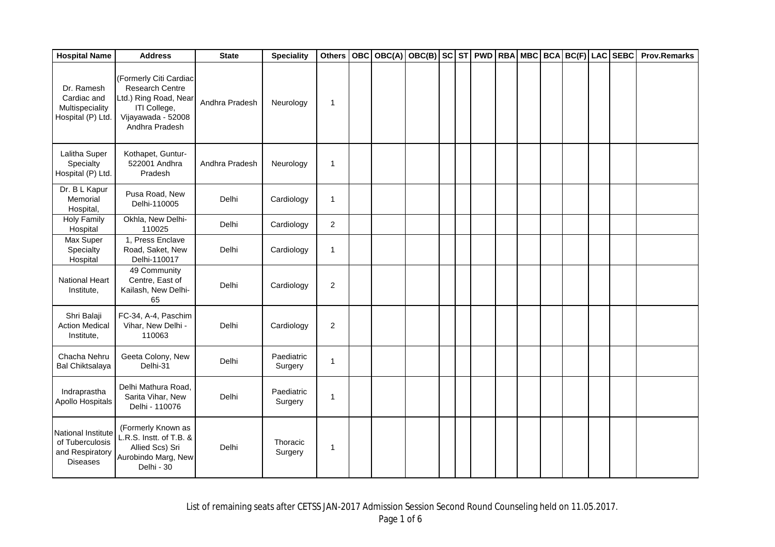| <b>Hospital Name</b>                                                        | <b>Address</b>                                                                                                             | <b>State</b>   | <b>Speciality</b>     | <b>Others</b>           | <b>OBC</b> | OBC(A) | $ OBC(B) $ SC $ ST $ PWD RBA MBC BCA BC(F) LAC SEBC |  |  |  |  | <b>Prov.Remarks</b> |
|-----------------------------------------------------------------------------|----------------------------------------------------------------------------------------------------------------------------|----------------|-----------------------|-------------------------|------------|--------|-----------------------------------------------------|--|--|--|--|---------------------|
| Dr. Ramesh<br>Cardiac and<br>Multispeciality<br>Hospital (P) Ltd.           | (Formerly Citi Cardiac<br>Research Centre<br>Ltd.) Ring Road, Near<br>ITI College,<br>Vijayawada - 52008<br>Andhra Pradesh | Andhra Pradesh | Neurology             | $\mathbf{1}$            |            |        |                                                     |  |  |  |  |                     |
| Lalitha Super<br>Specialty<br>Hospital (P) Ltd.                             | Kothapet, Guntur-<br>522001 Andhra<br>Pradesh                                                                              | Andhra Pradesh | Neurology             | $\mathbf{1}$            |            |        |                                                     |  |  |  |  |                     |
| Dr. B L Kapur<br>Memorial<br>Hospital,                                      | Pusa Road, New<br>Delhi-110005                                                                                             | Delhi          | Cardiology            | $\mathbf{1}$            |            |        |                                                     |  |  |  |  |                     |
| <b>Holy Family</b><br>Hospital                                              | Okhla, New Delhi-<br>110025                                                                                                | Delhi          | Cardiology            | $\overline{2}$          |            |        |                                                     |  |  |  |  |                     |
| Max Super<br>Specialty<br>Hospital                                          | 1, Press Enclave<br>Road, Saket, New<br>Delhi-110017                                                                       | Delhi          | Cardiology            | $\mathbf{1}$            |            |        |                                                     |  |  |  |  |                     |
| National Heart<br>Institute,                                                | 49 Community<br>Centre, East of<br>Kailash, New Delhi-<br>65                                                               | Delhi          | Cardiology            | $\overline{2}$          |            |        |                                                     |  |  |  |  |                     |
| Shri Balaji<br><b>Action Medical</b><br>Institute,                          | FC-34, A-4, Paschim<br>Vihar, New Delhi -<br>110063                                                                        | Delhi          | Cardiology            | $\overline{\mathbf{c}}$ |            |        |                                                     |  |  |  |  |                     |
| Chacha Nehru<br><b>Bal Chiktsalaya</b>                                      | Geeta Colony, New<br>Delhi-31                                                                                              | Delhi          | Paediatric<br>Surgery | 1                       |            |        |                                                     |  |  |  |  |                     |
| Indraprastha<br>Apollo Hospitals                                            | Delhi Mathura Road,<br>Sarita Vihar, New<br>Delhi - 110076                                                                 | Delhi          | Paediatric<br>Surgery | 1                       |            |        |                                                     |  |  |  |  |                     |
| National Institute<br>of Tuberculosis<br>and Respiratory<br><b>Diseases</b> | (Formerly Known as<br>L.R.S. Instt. of T.B. &<br>Allied Scs) Sri<br>Aurobindo Marg, New<br>Delhi - 30                      | Delhi          | Thoracic<br>Surgery   | $\mathbf{1}$            |            |        |                                                     |  |  |  |  |                     |

List of remaining seats after CETSS JAN-2017 Admission Session Second Round Counseling held on 11.05.2017.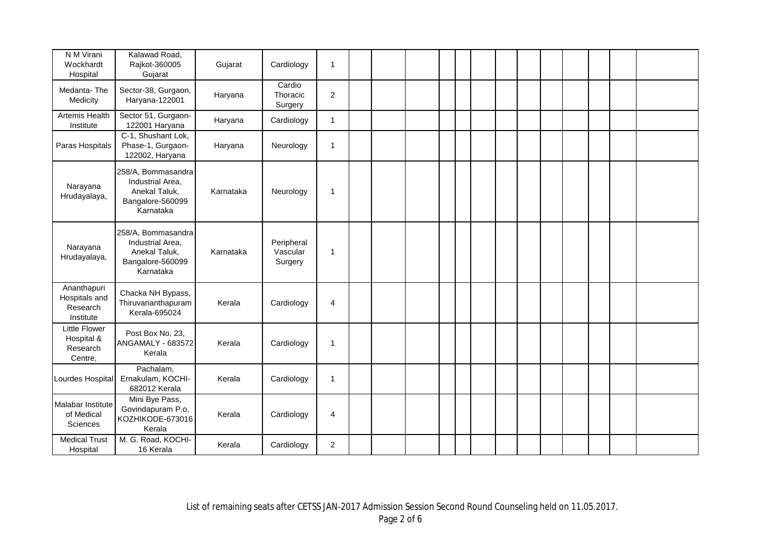| N M Virani<br>Wockhardt<br>Hospital                       | Kalawad Road,<br>Rajkot-360005<br>Gujarat                                                | Gujarat   | Cardiology                        | 1              |  |  |  |  |  |  |  |
|-----------------------------------------------------------|------------------------------------------------------------------------------------------|-----------|-----------------------------------|----------------|--|--|--|--|--|--|--|
| Medanta-The<br>Medicity                                   | Sector-38, Gurgaon,<br>Haryana-122001                                                    | Haryana   | Cardio<br>Thoracic<br>Surgery     | 2              |  |  |  |  |  |  |  |
| Artemis Health<br>Institute                               | Sector 51, Gurgaon-<br>122001 Haryana                                                    | Haryana   | Cardiology                        | $\mathbf{1}$   |  |  |  |  |  |  |  |
| Paras Hospitals                                           | C-1, Shushant Lok,<br>Phase-1, Gurgaon-<br>122002, Haryana                               | Haryana   | Neurology                         | $\overline{1}$ |  |  |  |  |  |  |  |
| Narayana<br>Hrudayalaya,                                  | 258/A, Bommasandra<br>Industrial Area,<br>Anekal Taluk,<br>Bangalore-560099<br>Karnataka | Karnataka | Neurology                         | $\mathbf 1$    |  |  |  |  |  |  |  |
| Narayana<br>Hrudayalaya,                                  | 258/A, Bommasandra<br>Industrial Area,<br>Anekal Taluk,<br>Bangalore-560099<br>Karnataka | Karnataka | Peripheral<br>Vascular<br>Surgery | $\mathbf{1}$   |  |  |  |  |  |  |  |
| Ananthapuri<br>Hospitals and<br>Research<br>Institute     | Chacka NH Bypass,<br>Thiruvananthapuram<br>Kerala-695024                                 | Kerala    | Cardiology                        | $\overline{4}$ |  |  |  |  |  |  |  |
| <b>Little Flower</b><br>Hospital &<br>Research<br>Centre, | Post Box No. 23,<br>ANGAMALY - 683572<br>Kerala                                          | Kerala    | Cardiology                        | $\mathbf{1}$   |  |  |  |  |  |  |  |
| Lourdes Hospital                                          | Pachalam,<br>Ernakulam, KOCHI-<br>682012 Kerala                                          | Kerala    | Cardiology                        | $\mathbf{1}$   |  |  |  |  |  |  |  |
| Malabar Institute<br>of Medical<br>Sciences               | Mini Bye Pass,<br>Govindapuram P.o,<br>KOZHIKODE-673016<br>Kerala                        | Kerala    | Cardiology                        | 4              |  |  |  |  |  |  |  |
| <b>Medical Trust</b><br>Hospital                          | M. G. Road, KOCHI-<br>16 Kerala                                                          | Kerala    | Cardiology                        | $\overline{2}$ |  |  |  |  |  |  |  |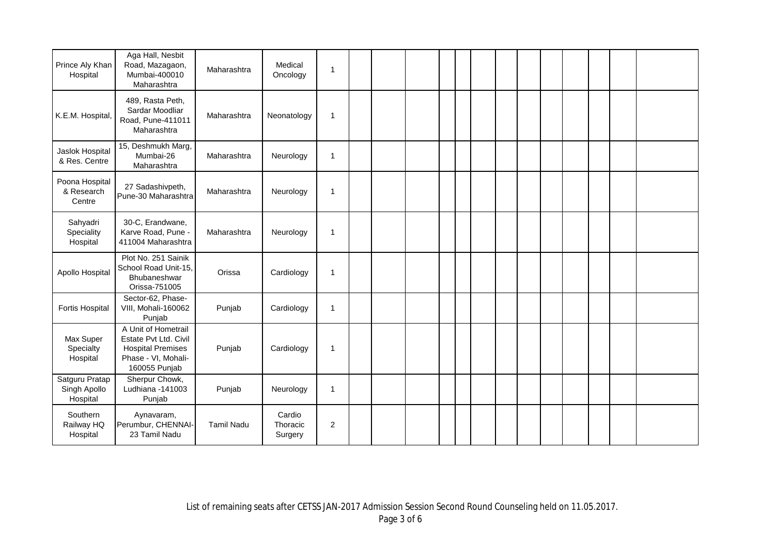| Prince Aly Khan<br>Hospital                | Aga Hall, Nesbit<br>Road, Mazagaon,<br>Mumbai-400010<br>Maharashtra                                              | Maharashtra       | Medical<br>Oncology           | $\mathbf{1}$   |  |  |  |  |  |  |  |
|--------------------------------------------|------------------------------------------------------------------------------------------------------------------|-------------------|-------------------------------|----------------|--|--|--|--|--|--|--|
| K.E.M. Hospital,                           | 489, Rasta Peth,<br>Sardar Moodliar<br>Road, Pune-411011<br>Maharashtra                                          | Maharashtra       | Neonatology                   | $\mathbf{1}$   |  |  |  |  |  |  |  |
| Jaslok Hospital<br>& Res. Centre           | 15, Deshmukh Marg,<br>Mumbai-26<br>Maharashtra                                                                   | Maharashtra       | Neurology                     | $\mathbf{1}$   |  |  |  |  |  |  |  |
| Poona Hospital<br>& Research<br>Centre     | 27 Sadashivpeth,<br>Pune-30 Maharashtra                                                                          | Maharashtra       | Neurology                     | $\mathbf{1}$   |  |  |  |  |  |  |  |
| Sahyadri<br>Speciality<br>Hospital         | 30-C, Erandwane,<br>Karve Road, Pune -<br>411004 Maharashtra                                                     | Maharashtra       | Neurology                     | $\mathbf{1}$   |  |  |  |  |  |  |  |
| Apollo Hospital                            | Plot No. 251 Sainik<br>School Road Unit-15,<br>Bhubaneshwar<br>Orissa-751005                                     | Orissa            | Cardiology                    | $\mathbf{1}$   |  |  |  |  |  |  |  |
| <b>Fortis Hospital</b>                     | Sector-62, Phase-<br>VIII, Mohali-160062<br>Punjab                                                               | Punjab            | Cardiology                    | $\mathbf{1}$   |  |  |  |  |  |  |  |
| Max Super<br>Specialty<br>Hospital         | A Unit of Hometrail<br>Estate Pvt Ltd. Civil<br><b>Hospital Premises</b><br>Phase - VI, Mohali-<br>160055 Punjab | Punjab            | Cardiology                    | 1              |  |  |  |  |  |  |  |
| Satguru Pratap<br>Singh Apollo<br>Hospital | Sherpur Chowk,<br>Ludhiana -141003<br>Punjab                                                                     | Punjab            | Neurology                     | $\mathbf{1}$   |  |  |  |  |  |  |  |
| Southern<br>Railway HQ<br>Hospital         | Aynavaram,<br>Perumbur, CHENNAI-<br>23 Tamil Nadu                                                                | <b>Tamil Nadu</b> | Cardio<br>Thoracic<br>Surgery | $\overline{2}$ |  |  |  |  |  |  |  |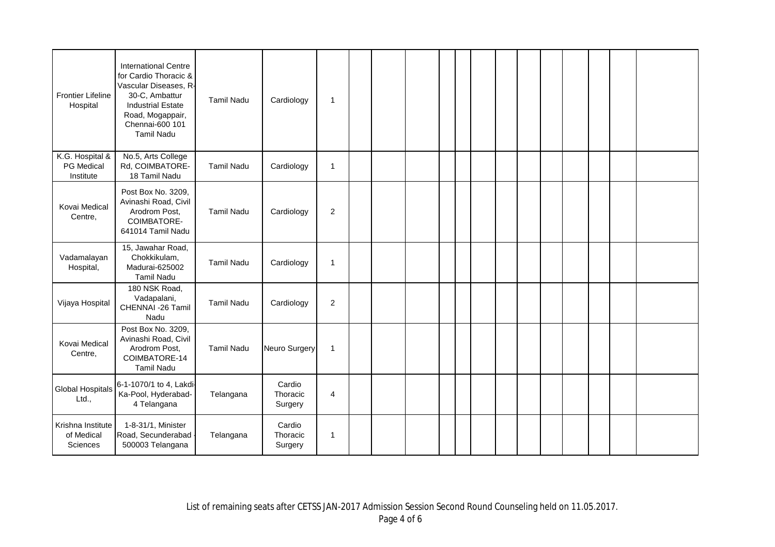| <b>Frontier Lifeline</b><br>Hospital        | <b>International Centre</b><br>for Cardio Thoracic &<br>Vascular Diseases, R-<br>30-C, Ambattur<br><b>Industrial Estate</b><br>Road, Mogappair,<br>Chennai-600 101<br><b>Tamil Nadu</b> | <b>Tamil Nadu</b> | Cardiology                    | $\overline{\mathbf{1}}$ |  |  |  |  |  |  |  |
|---------------------------------------------|-----------------------------------------------------------------------------------------------------------------------------------------------------------------------------------------|-------------------|-------------------------------|-------------------------|--|--|--|--|--|--|--|
| K.G. Hospital &<br>PG Medical<br>Institute  | No.5, Arts College<br>Rd, COIMBATORE-<br>18 Tamil Nadu                                                                                                                                  | <b>Tamil Nadu</b> | Cardiology                    | $\overline{1}$          |  |  |  |  |  |  |  |
| Kovai Medical<br>Centre,                    | Post Box No. 3209,<br>Avinashi Road, Civil<br>Arodrom Post,<br>COIMBATORE-<br>641014 Tamil Nadu                                                                                         | <b>Tamil Nadu</b> | Cardiology                    | $\overline{c}$          |  |  |  |  |  |  |  |
| Vadamalayan<br>Hospital,                    | 15, Jawahar Road,<br>Chokkikulam,<br>Madurai-625002<br><b>Tamil Nadu</b>                                                                                                                | <b>Tamil Nadu</b> | Cardiology                    | $\mathbf{1}$            |  |  |  |  |  |  |  |
| Vijaya Hospital                             | 180 NSK Road,<br>Vadapalani,<br>CHENNAI -26 Tamil<br>Nadu                                                                                                                               | <b>Tamil Nadu</b> | Cardiology                    | $\sqrt{2}$              |  |  |  |  |  |  |  |
| Kovai Medical<br>Centre,                    | Post Box No. 3209,<br>Avinashi Road, Civil<br>Arodrom Post,<br>COIMBATORE-14<br><b>Tamil Nadu</b>                                                                                       | <b>Tamil Nadu</b> | <b>Neuro Surgery</b>          | $\mathbf{1}$            |  |  |  |  |  |  |  |
| <b>Global Hospitals</b><br>Ltd.,            | 6-1-1070/1 to 4, Lakdi-<br>Ka-Pool, Hyderabad-<br>4 Telangana                                                                                                                           | Telangana         | Cardio<br>Thoracic<br>Surgery | 4                       |  |  |  |  |  |  |  |
| Krishna Institute<br>of Medical<br>Sciences | 1-8-31/1, Minister<br>Road, Secunderabad<br>500003 Telangana                                                                                                                            | Telangana         | Cardio<br>Thoracic<br>Surgery | 1                       |  |  |  |  |  |  |  |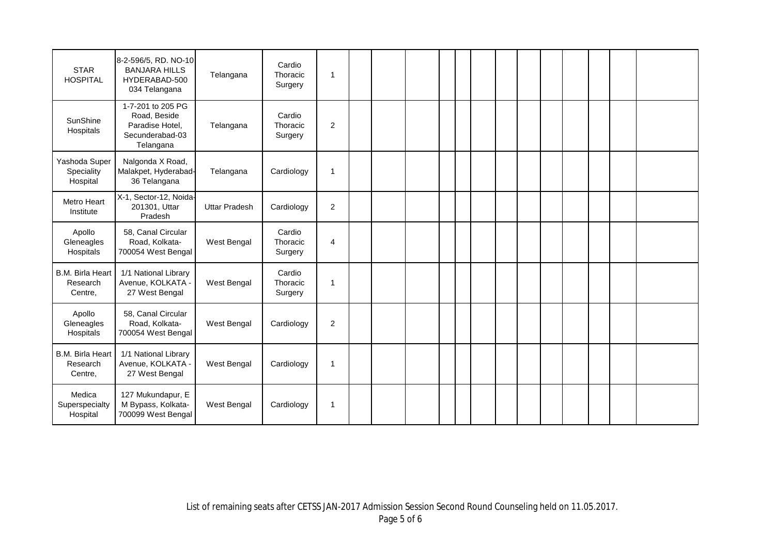| <b>STAR</b><br><b>HOSPITAL</b>                 | 8-2-596/5, RD. NO-10<br><b>BANJARA HILLS</b><br>HYDERABAD-500<br>034 Telangana       | Telangana            | Cardio<br>Thoracic<br>Surgery | -1                      |  |  |  |  |  |  |  |
|------------------------------------------------|--------------------------------------------------------------------------------------|----------------------|-------------------------------|-------------------------|--|--|--|--|--|--|--|
| SunShine<br>Hospitals                          | 1-7-201 to 205 PG<br>Road, Beside<br>Paradise Hotel,<br>Secunderabad-03<br>Telangana | Telangana            | Cardio<br>Thoracic<br>Surgery | $\overline{2}$          |  |  |  |  |  |  |  |
| Yashoda Super<br>Speciality<br>Hospital        | Nalgonda X Road,<br>Malakpet, Hyderabad-<br>36 Telangana                             | Telangana            | Cardiology                    | $\overline{\mathbf{1}}$ |  |  |  |  |  |  |  |
| Metro Heart<br>Institute                       | X-1, Sector-12, Noida-<br>201301, Uttar<br>Pradesh                                   | <b>Uttar Pradesh</b> | Cardiology                    | $\overline{c}$          |  |  |  |  |  |  |  |
| Apollo<br>Gleneagles<br>Hospitals              | 58, Canal Circular<br>Road, Kolkata-<br>700054 West Bengal                           | West Bengal          | Cardio<br>Thoracic<br>Surgery | 4                       |  |  |  |  |  |  |  |
| <b>B.M. Birla Heart</b><br>Research<br>Centre, | 1/1 National Library<br>Avenue, KOLKATA -<br>27 West Bengal                          | West Bengal          | Cardio<br>Thoracic<br>Surgery | $\mathbf{1}$            |  |  |  |  |  |  |  |
| Apollo<br>Gleneagles<br>Hospitals              | 58, Canal Circular<br>Road, Kolkata-<br>700054 West Bengal                           | West Bengal          | Cardiology                    | $\overline{2}$          |  |  |  |  |  |  |  |
| <b>B.M. Birla Heart</b><br>Research<br>Centre, | 1/1 National Library<br>Avenue, KOLKATA -<br>27 West Bengal                          | West Bengal          | Cardiology                    | $\overline{1}$          |  |  |  |  |  |  |  |
| Medica<br>Superspecialty<br>Hospital           | 127 Mukundapur, E<br>M Bypass, Kolkata-<br>700099 West Bengal                        | West Bengal          | Cardiology                    | $\overline{\mathbf{1}}$ |  |  |  |  |  |  |  |